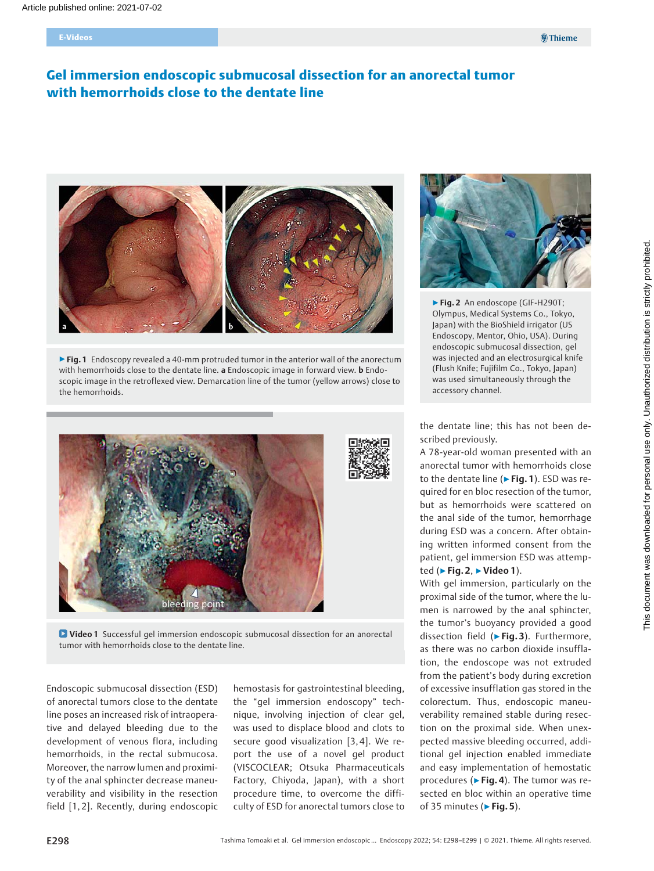# Gel immersion endoscopic submucosal dissection for an anorectal tumor with hemorrhoids close to the dentate line



▶ Fig. 1 Endoscopy revealed a 40-mm protruded tumor in the anterior wall of the anorectum with hemorrhoids close to the dentate line. a Endoscopic image in forward view. **b** Endoscopic image in the retroflexed view. Demarcation line of the tumor (yellow arrows) close to the hemorrhoids.



**D** Video 1 Successful gel immersion endoscopic submucosal dissection for an anorectal tumor with hemorrhoids close to the dentate line.

Endoscopic submucosal dissection (ESD) of anorectal tumors close to the dentate line poses an increased risk of intraoperative and delayed bleeding due to the development of venous flora, including hemorrhoids, in the rectal submucosa. Moreover, the narrow lumen and proximity of the anal sphincter decrease maneuverability and visibility in the resection field [1, 2]. Recently, during endoscopic hemostasis for gastrointestinal bleeding, the "gel immersion endoscopy" technique, involving injection of clear gel, was used to displace blood and clots to secure good visualization [3, 4]. We report the use of a novel gel product (VISCOCLEAR; Otsuka Pharmaceuticals Factory, Chiyoda, Japan), with a short procedure time, to overcome the difficulty of ESD for anorectal tumors close to



▶Fig. 2 An endoscope (GIF-H290T; Olympus, Medical Systems Co., Tokyo, Japan) with the BioShield irrigator (US Endoscopy, Mentor, Ohio, USA). During endoscopic submucosal dissection, gel was injected and an electrosurgical knife (Flush Knife; Fujifilm Co., Tokyo, Japan) was used simultaneously through the accessory channel.

the dentate line; this has not been described previously.

A 78-year-old woman presented with an anorectal tumor with hemorrhoids close to the dentate line ( $\triangleright$  Fig. 1). ESD was required for en bloc resection of the tumor, but as hemorrhoids were scattered on the anal side of the tumor, hemorrhage during ESD was a concern. After obtaining written informed consent from the patient, gel immersion ESD was attempted ( $\blacktriangleright$  Fig. 2,  $\blacktriangleright$  Video 1).

With gel immersion, particularly on the proximal side of the tumor, where the lumen is narrowed by the anal sphincter, the tumor's buoyancy provided a good dissection field (▶Fig. 3). Furthermore, as there was no carbon dioxide insufflation, the endoscope was not extruded from the patient's body during excretion of excessive insufflation gas stored in the colorectum. Thus, endoscopic maneuverability remained stable during resection on the proximal side. When unexpected massive bleeding occurred, additional gel injection enabled immediate and easy implementation of hemostatic procedures ( $\blacktriangleright$  Fig. 4). The tumor was resected en bloc within an operative time of 35 minutes ( $\triangleright$  Fig. 5).